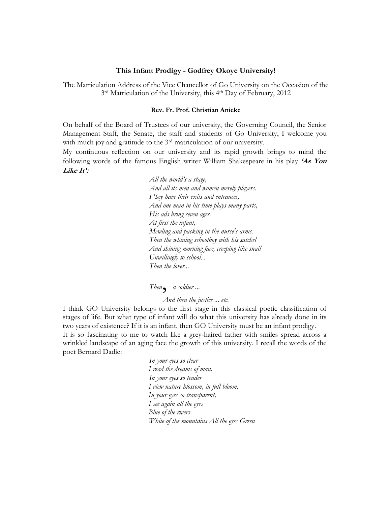## **This Infant Prodigy - Godfrey Okoye University!**

The Matriculation Address of the Vice Chancellor of Go University on the Occasion of the 3 rd Matriculation of the University, this 4th Day of February, 2012

## **Rev. Fr. Prof. Christian Anieke**

On behalf of the Board of Trustees of our university, the Governing Council, the Senior Management Staff, the Senate, the staff and students of Go University, I welcome you with much joy and gratitude to the 3<sup>rd</sup> matriculation of our university.

My continuous reflection on our university and its rapid growth brings to mind the following words of the famous English writer William Shakespeare in his play **'As You Like It':**

> *All the world's a stage, And all its men and women merely players. I 'hey have their exits and entrances, And one man in his time plays many parts, His ads bring seven ages. At first the infant, Mewling and packing in the nurse's arms. Then the whining schoolboy with his satchel And shining morning face, creeping like snail Unwillingly to school... Then the lover...*

*Then*, *a soldier ...* 

*And then the justice ... etc.* 

I think GO University belongs to the first stage in this classical poetic classification of stages of life. But what type of infant will do what this university has already done in its two years of existence? If it is an infant, then GO University must be an infant prodigy. It is so fascinating to me to watch like a grey-haired father with smiles spread across a wrinkled landscape of an aging face the growth of this university. I recall the words of the poet Bernard Dadie:

> *In your eyes so clear I read the dreams of man. In your eyes so tender I view nature blossom, in full bloom. In your eyes so transparent, I see again all the eyes Blue of the rivers White of the mountains All the eyes Green*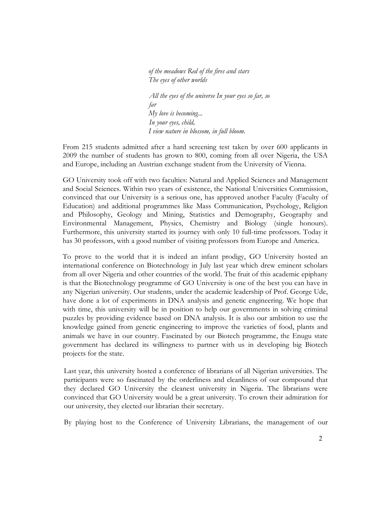*of the meadows Red of the fires and stars The eyes of other worlds* 

*All the eyes of the universe In your eyes so far, so far My love is becoming... In your eyes, child, I view nature in blossom, in full bloom.* 

From 215 students admitted after a hard screening test taken by over 600 applicants in 2009 the number of students has grown to 800, coming from all over Nigeria, the USA and Europe, including an Austrian exchange student from the University of Vienna.

GO University took off with two faculties: Natural and Applied Sciences and Management and Social Sciences. Within two years of existence, the National Universities Commission, convinced that our University is a serious one, has approved another Faculty (Faculty of Education) and additional programmes like Mass Communication, Psychology, Religion and Philosophy, Geology and Mining, Statistics and Demography, Geography and Environmental Management, Physics, Chemistry and Biology (single honours). Furthermore, this university started its journey with only 10 full-time professors. Today it has 30 professors, with a good number of visiting professors from Europe and America.

To prove to the world that it is indeed an infant prodigy, GO University hosted an international conference on Biotechnology in July last year which drew eminent scholars from all over Nigeria and other countries of the world. The fruit of this academic epiphany is that the Biotechnology programme of GO University is one of the best you can have in any Nigerian university. Our students, under the academic leadership of Prof. George Ude, have done a lot of experiments in DNA analysis and genetic engineering. We hope that with time, this university will be in position to help our governments in solving criminal puzzles by providing evidence based on DNA analysis. It is also our ambition to use the knowledge gained from genetic engineering to improve the varieties of food, plants and animals we have in our country. Fascinated by our Biotech programme, the Enugu state government has declared its willingness to partner with us in developing big Biotech projects for the state.

Last year, this university hosted a conference of librarians of all Nigerian universities. The participants were so fascinated by the orderliness and cleanliness of our compound that they declared GO University the cleanest university in Nigeria. The librarians were convinced that GO University would be a great university. To crown their admiration for our university, they elected our librarian their secretary.

By playing host to the Conference of University Librarians, the management of our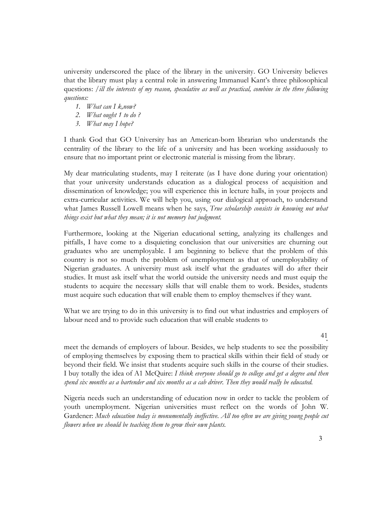university underscored the place of the library in the university. GO University believes that the library must play a central role in answering Immanuel Kant's three philosophical questions: */ill the interests of my reason, speculative as well as practical, combine in the three following questions:*

- *1. What can I k,now?*
- *2. What ought 1 to do ?*
- *3. What may I hope?*

I thank God that GO University has an American-born librarian who understands the centrality of the library to the life of a university and has been working assiduously to ensure that no important print or electronic material is missing from the library.

My dear matriculating students, may I reiterate (as I have done during your orientation) that your university understands education as a dialogical process of acquisition and dissemination of knowledge; you will experience this in lecture halls, in your projects and extra-curricular activities. We will help you, using our dialogical approach, to understand what James Russell Lowell means when he says, *True scholarship consists in knowing not what things exist but what they mean; it is not memory but judgment.*

Furthermore, looking at the Nigerian educational setting, analyzing its challenges and pitfalls, I have come to a disquieting conclusion that our universities are churning out graduates who are unemployable. I am beginning to believe that the problem of this country is not so much the problem of unemployment as that of unemployability of Nigerian graduates. A university must ask itself what the graduates will do after their studies. It must ask itself what the world outside the university needs and must equip the students to acquire the necessary skills that will enable them to work. Besides, students must acquire such education that will enable them to employ themselves if they want.

What we are trying to do in this university is to find out what industries and employers of labour need and to provide such education that will enable students to

> 41 \*

meet the demands of employers of labour. Besides, we help students to see the possibility of employing themselves by exposing them to practical skills within their field of study or beyond their field. We insist that students acquire such skills in the course of their studies. I buy totally the idea of A1 McQuire: *I think everyone should go to college and get a degree and then spend six months as a bartender and six months as a cab driver. Then they would really be educated.*

Nigeria needs such an understanding of education now in order to tackle the problem of youth unemployment. Nigerian universities must reflect on the words of John W. Gardener: *Much education today is monumentally ineffective. All too often we are giving young people cut flowers when we should be teaching them to grow their own plants.*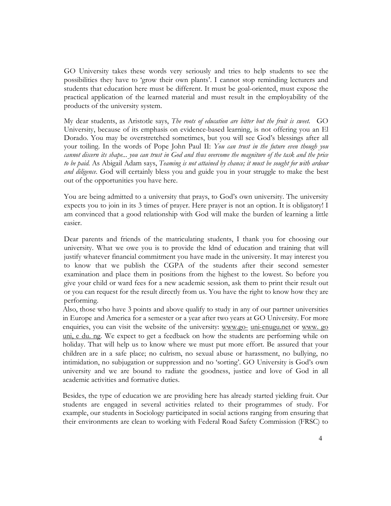GO University takes these words very seriously and tries to help students to see the possibilities they have to 'grow their own plants'. I cannot stop reminding lecturers and students that education here must be different. It must be goal-oriented, must expose the practical application of the learned material and must result in the employability of the products of the university system.

My dear students, as Aristotle says, *The roots of education are bitter but the fruit is sweet.* GO University, because of its emphasis on evidence-based learning, is not offering you an El Dorado. You may be overstretched sometimes, but you will see God's blessings after all your toiling. In the words of Pope John Paul II: *You can trust in the future even though you cannot discern its shape... you can trust in God and thus overcome the magniture of the task and the price to be paid.* As Abigail Adam says, *Teaming is not attained by chance; it must be sought for with ardour and diligence.* God will certainly bless you and guide you in your struggle to make the best out of the opportunities you have here.

You are being admitted to a university that prays, to God's own university. The university expects you to join in its 3 times of prayer. Here prayer is not an option. It is obligatory! I am convinced that a good relationship with God will make the burden of learning a little easier.

Dear parents and friends of the matriculating students, I thank you for choosing our university. What we owe you is to provide the ldnd of education and training that will justify whatever financial commitment you have made in the university. It may interest you to know that we publish the CGPA of the students after their second semester examination and place them in positions from the highest to the lowest. So before you give your child or ward fees for a new academic session, ask them to print their result out or you can request for the result directly from us. You have the right to know how they are performing.

Also, those who have 3 points and above qualify to study in any of our partner universities in Europe and America for a semester or a year after two years at GO University. For more enquiries, you can visit the website of the university: www.go- uni-enugu.net or www. go uni, e du. ng. We expect to get a feedback on how the students are performing while on holiday. That will help us to know where we must put more effort. Be assured that your children are in a safe place; no culrism, no sexual abuse or harassment, no bullying, no intimidation, no subjugation or suppression and no 'sorting'. GO University is God's own university and we are bound to radiate the goodness, justice and love of God in all academic activities and formative duties.

Besides, the type of education we are providing here has already started yielding fruit. Our students are engaged in several activities related to their programmes of study. For example, our students in Sociology participated in social actions ranging from ensuring that their environments are clean to working with Federal Road Safety Commission (FRSC) to